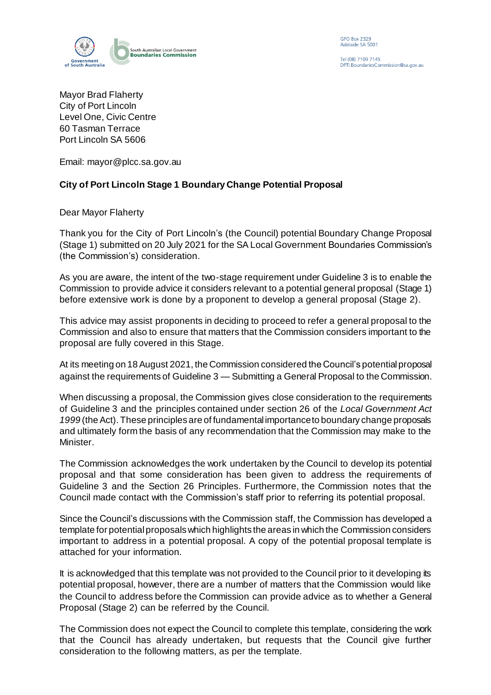

GPO Box 2329<br>Adelaide SA 5001

Tel (08) 7109 7145 PTI. Boundaries Commission@sa.gov.au

Mayor Brad Flaherty City of Port Lincoln Level One, Civic Centre 60 Tasman Terrace Port Lincoln SA 5606

Email: mayor@plcc.sa.gov.au

## **City of Port Lincoln Stage 1 Boundary Change Potential Proposal**

Dear Mayor Flaherty

Thank you for the City of Port Lincoln's (the Council) potential Boundary Change Proposal (Stage 1) submitted on 20 July 2021 for the SA Local Government Boundaries Commission's (the Commission's) consideration.

As you are aware, the intent of the two-stage requirement under Guideline 3 is to enable the Commission to provide advice it considers relevant to a potential general proposal (Stage 1) before extensive work is done by a proponent to develop a general proposal (Stage 2).

This advice may assist proponents in deciding to proceed to refer a general proposal to the Commission and also to ensure that matters that the Commission considers important to the proposal are fully covered in this Stage.

At its meeting on 18 August 2021, the Commission considered the Council's potential proposal against the requirements of Guideline 3 — Submitting a General Proposal to the Commission.

When discussing a proposal, the Commission gives close consideration to the requirements of Guideline 3 and the principles contained under section 26 of the *Local Government Act 1999* (the Act). These principles are of fundamental importance to boundary change proposals and ultimately form the basis of any recommendation that the Commission may make to the Minister.

The Commission acknowledges the work undertaken by the Council to develop its potential proposal and that some consideration has been given to address the requirements of Guideline 3 and the Section 26 Principles. Furthermore, the Commission notes that the Council made contact with the Commission's staff prior to referring its potential proposal.

Since the Council's discussions with the Commission staff, the Commission has developed a template for potential proposals which highlights the areas in which the Commission considers important to address in a potential proposal. A copy of the potential proposal template is attached for your information.

It is acknowledged that this template was not provided to the Council prior to it developing its potential proposal, however, there are a number of matters that the Commission would like the Council to address before the Commission can provide advice as to whether a General Proposal (Stage 2) can be referred by the Council.

The Commission does not expect the Council to complete this template, considering the work that the Council has already undertaken, but requests that the Council give further consideration to the following matters, as per the template.